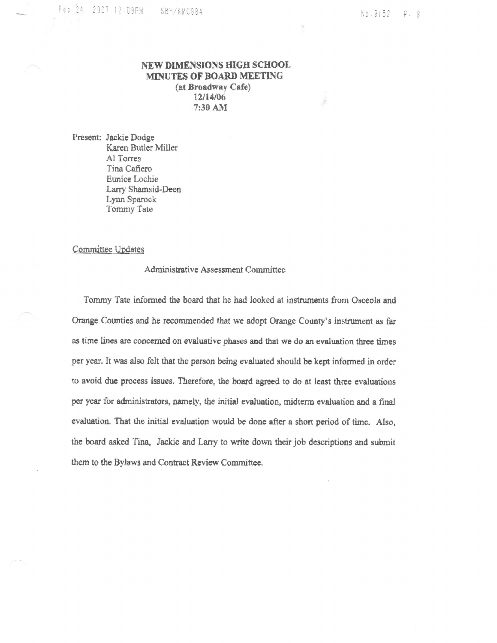## NEW DIMENSIONS HIGH SCHOOL MINUTES OF BOARD MEETING (at Broadway Cafe) 12/14/06 7:30 AM

Present: Jackie Dodge Karen Butler Miller Al Torres Tina Cafiero Eunice Lochie Larry Shamsid-Deen Lynn Sparock Tommy Tate

## Committee Updates

## Administrative Assessment Committee

Tommy Tate informed the board that he had looked at instruments from Osceola and Orange Counties and he recommended that we adopt Orange County's instrument as far as time lines are concerned on evaluative phases and that we do an evaluation three times per year. It was also felt that the person being evaluated should be kept informed in order to avoid due process issues. Therefore, the board agreed to do at least three evaluations per year for administrators, namely, the initial evaluation, midterm evaluation and a final evaluation. That the initial evaluation would be done after a short period of time. Also, the board asked Tina, Jackie and Larry to write down their job descriptions and submit them to the Bylaws and Contract Review Committee.